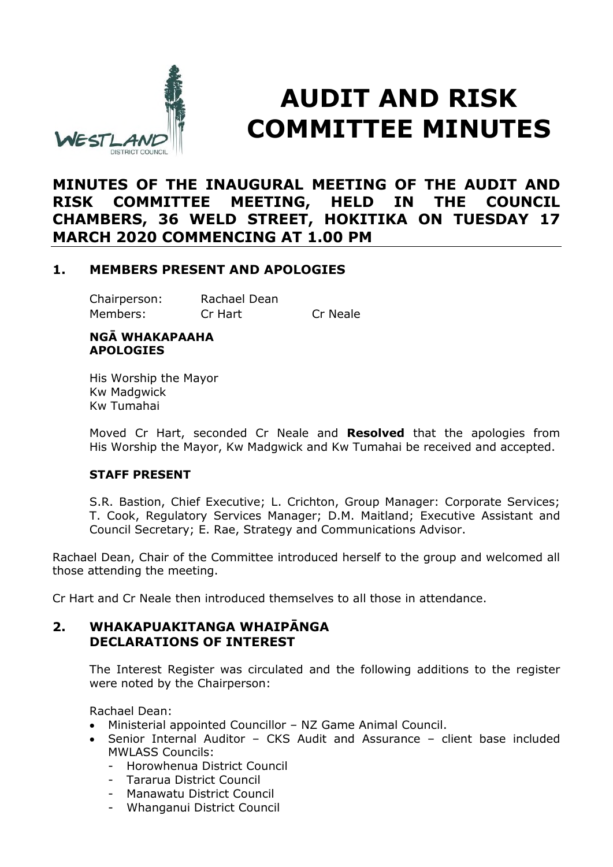

# **AUDIT AND RISK COMMITTEE MINUTES**

# **MINUTES OF THE INAUGURAL MEETING OF THE AUDIT AND RISK COMMITTEE MEETING, HELD IN THE COUNCIL CHAMBERS, 36 WELD STREET, HOKITIKA ON TUESDAY 17 MARCH 2020 COMMENCING AT 1.00 PM**

## **1. MEMBERS PRESENT AND APOLOGIES**

Chairperson: Rachael Dean Members: Cr Hart Cr Neale

#### **NGĀ WHAKAPAAHA APOLOGIES**

His Worship the Mayor Kw Madgwick Kw Tumahai

Moved Cr Hart, seconded Cr Neale and **Resolved** that the apologies from His Worship the Mayor, Kw Madgwick and Kw Tumahai be received and accepted.

#### **STAFF PRESENT**

S.R. Bastion, Chief Executive; L. Crichton, Group Manager: Corporate Services; T. Cook, Regulatory Services Manager; D.M. Maitland; Executive Assistant and Council Secretary; E. Rae, Strategy and Communications Advisor.

Rachael Dean, Chair of the Committee introduced herself to the group and welcomed all those attending the meeting.

Cr Hart and Cr Neale then introduced themselves to all those in attendance.

### **2. WHAKAPUAKITANGA WHAIPĀNGA DECLARATIONS OF INTEREST**

The Interest Register was circulated and the following additions to the register were noted by the Chairperson:

Rachael Dean:

- Ministerial appointed Councillor NZ Game Animal Council.
- Senior Internal Auditor CKS Audit and Assurance client base included MWLASS Councils:
	- Horowhenua District Council
	- Tararua District Council
	- Manawatu District Council
	- Whanganui District Council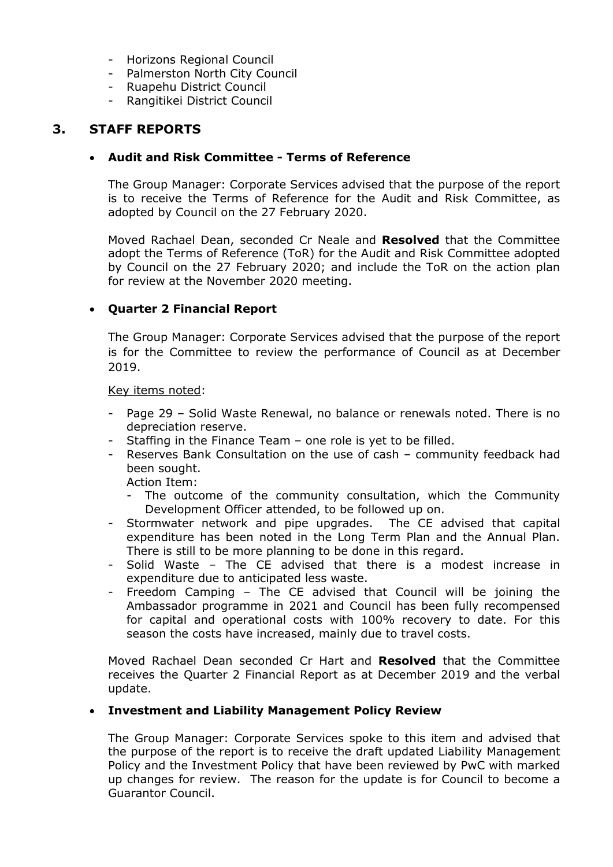- Horizons Regional Council
- Palmerston North City Council
- Ruapehu District Council
- Rangitikei District Council

# **3. STAFF REPORTS**

#### **Audit and Risk Committee - Terms of Reference**

The Group Manager: Corporate Services advised that the purpose of the report is to receive the Terms of Reference for the Audit and Risk Committee, as adopted by Council on the 27 February 2020.

Moved Rachael Dean, seconded Cr Neale and **Resolved** that the Committee adopt the Terms of Reference (ToR) for the Audit and Risk Committee adopted by Council on the 27 February 2020; and include the ToR on the action plan for review at the November 2020 meeting.

#### **Quarter 2 Financial Report**

The Group Manager: Corporate Services advised that the purpose of the report is for the Committee to review the performance of Council as at December 2019.

#### Key items noted:

- Page 29 Solid Waste Renewal, no balance or renewals noted. There is no depreciation reserve.
- Staffing in the Finance Team one role is yet to be filled.
- Reserves Bank Consultation on the use of cash community feedback had been sought.

Action Item:

- The outcome of the community consultation, which the Community Development Officer attended, to be followed up on.
- Stormwater network and pipe upgrades. The CE advised that capital expenditure has been noted in the Long Term Plan and the Annual Plan. There is still to be more planning to be done in this regard.
- Solid Waste The CE advised that there is a modest increase in expenditure due to anticipated less waste.
- Freedom Camping The CE advised that Council will be joining the Ambassador programme in 2021 and Council has been fully recompensed for capital and operational costs with 100% recovery to date. For this season the costs have increased, mainly due to travel costs.

Moved Rachael Dean seconded Cr Hart and **Resolved** that the Committee receives the Quarter 2 Financial Report as at December 2019 and the verbal update.

#### **Investment and Liability Management Policy Review**

The Group Manager: Corporate Services spoke to this item and advised that the purpose of the report is to receive the draft updated Liability Management Policy and the Investment Policy that have been reviewed by PwC with marked up changes for review. The reason for the update is for Council to become a Guarantor Council.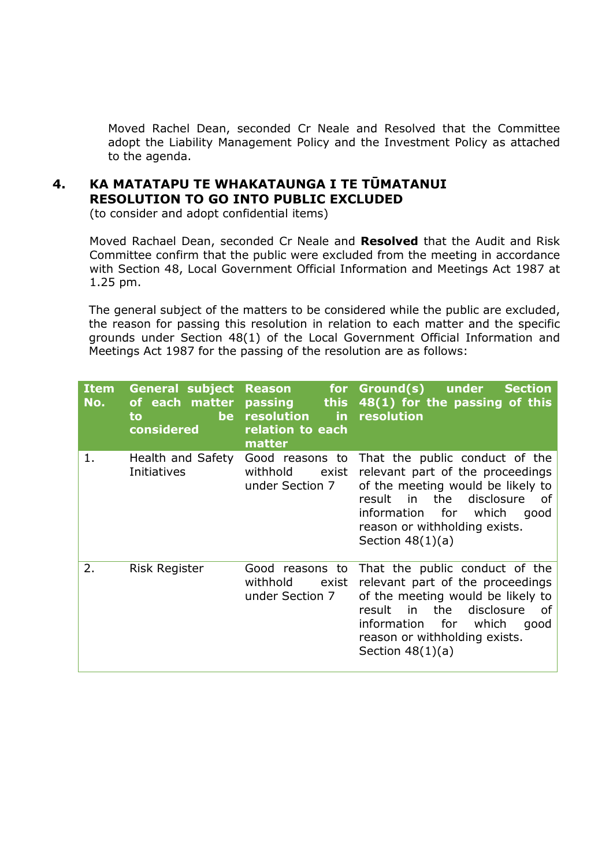Moved Rachel Dean, seconded Cr Neale and Resolved that the Committee adopt the Liability Management Policy and the Investment Policy as attached to the agenda.

# **4. KA MATATAPU TE WHAKATAUNGA I TE TŪMATANUI RESOLUTION TO GO INTO PUBLIC EXCLUDED**

(to consider and adopt confidential items)

Moved Rachael Dean, seconded Cr Neale and **Resolved** that the Audit and Risk Committee confirm that the public were excluded from the meeting in accordance with Section 48, Local Government Official Information and Meetings Act 1987 at 1.25 pm.

The general subject of the matters to be considered while the public are excluded, the reason for passing this resolution in relation to each matter and the specific grounds under Section 48(1) of the Local Government Official Information and Meetings Act 1987 for the passing of the resolution are as follows:

| <b>Item</b><br>No. | <b>General subject</b><br>of each matter<br><b>be</b><br>to<br>considered | <b>Reason</b><br>for<br>passing<br><b>this</b><br>resolution<br>$\blacksquare$ in<br>relation to each<br>matter | Ground(s)<br>under<br><b>Section</b><br>48(1) for the passing of this<br>resolution                                                                                                                                                           |
|--------------------|---------------------------------------------------------------------------|-----------------------------------------------------------------------------------------------------------------|-----------------------------------------------------------------------------------------------------------------------------------------------------------------------------------------------------------------------------------------------|
| 1.                 | Health and Safety<br>Initiatives                                          | Good reasons to<br>withhold<br>exist<br>under Section 7                                                         | That the public conduct of the<br>relevant part of the proceedings<br>of the meeting would be likely to<br>disclosure<br>result<br>in the<br>of<br>information for<br>which<br>good<br>reason or withholding exists.<br>Section $48(1)(a)$    |
| 2.                 | Risk Register                                                             | Good reasons to<br>withhold<br>exist<br>under Section 7                                                         | That the public conduct of the<br>relevant part of the proceedings<br>of the meeting would be likely to<br>the<br>disclosure<br>in<br>result<br>0f<br>information for<br>which<br>good<br>reason or withholding exists.<br>Section $48(1)(a)$ |